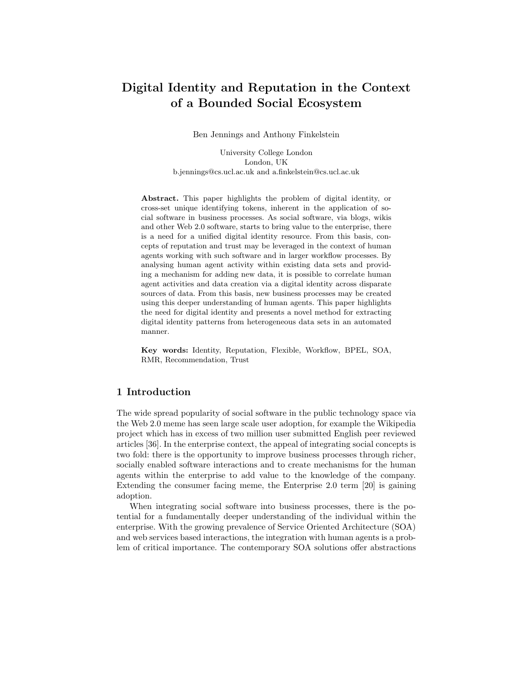# Digital Identity and Reputation in the Context of a Bounded Social Ecosystem

Ben Jennings and Anthony Finkelstein

University College London London, UK b.jennings@cs.ucl.ac.uk and a.finkelstein@cs.ucl.ac.uk

Abstract. This paper highlights the problem of digital identity, or cross-set unique identifying tokens, inherent in the application of social software in business processes. As social software, via blogs, wikis and other Web 2.0 software, starts to bring value to the enterprise, there is a need for a unified digital identity resource. From this basis, concepts of reputation and trust may be leveraged in the context of human agents working with such software and in larger workflow processes. By analysing human agent activity within existing data sets and providing a mechanism for adding new data, it is possible to correlate human agent activities and data creation via a digital identity across disparate sources of data. From this basis, new business processes may be created using this deeper understanding of human agents. This paper highlights the need for digital identity and presents a novel method for extracting digital identity patterns from heterogeneous data sets in an automated manner.

Key words: Identity, Reputation, Flexible, Workflow, BPEL, SOA, RMR, Recommendation, Trust

# 1 Introduction

The wide spread popularity of social software in the public technology space via the Web 2.0 meme has seen large scale user adoption, for example the Wikipedia project which has in excess of two million user submitted English peer reviewed articles [36]. In the enterprise context, the appeal of integrating social concepts is two fold: there is the opportunity to improve business processes through richer, socially enabled software interactions and to create mechanisms for the human agents within the enterprise to add value to the knowledge of the company. Extending the consumer facing meme, the Enterprise 2.0 term [20] is gaining adoption.

When integrating social software into business processes, there is the potential for a fundamentally deeper understanding of the individual within the enterprise. With the growing prevalence of Service Oriented Architecture (SOA) and web services based interactions, the integration with human agents is a problem of critical importance. The contemporary SOA solutions offer abstractions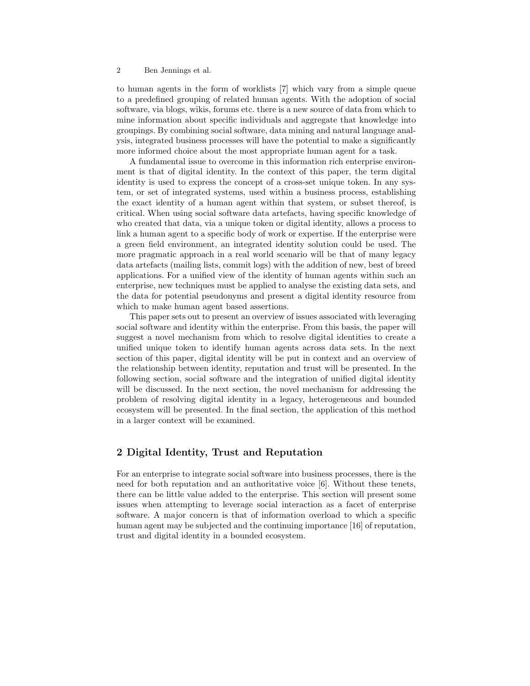to human agents in the form of worklists [7] which vary from a simple queue to a predefined grouping of related human agents. With the adoption of social software, via blogs, wikis, forums etc. there is a new source of data from which to mine information about specific individuals and aggregate that knowledge into groupings. By combining social software, data mining and natural language analysis, integrated business processes will have the potential to make a significantly more informed choice about the most appropriate human agent for a task.

A fundamental issue to overcome in this information rich enterprise environment is that of digital identity. In the context of this paper, the term digital identity is used to express the concept of a cross-set unique token. In any system, or set of integrated systems, used within a business process, establishing the exact identity of a human agent within that system, or subset thereof, is critical. When using social software data artefacts, having specific knowledge of who created that data, via a unique token or digital identity, allows a process to link a human agent to a specific body of work or expertise. If the enterprise were a green field environment, an integrated identity solution could be used. The more pragmatic approach in a real world scenario will be that of many legacy data artefacts (mailing lists, commit logs) with the addition of new, best of breed applications. For a unified view of the identity of human agents within such an enterprise, new techniques must be applied to analyse the existing data sets, and the data for potential pseudonyms and present a digital identity resource from which to make human agent based assertions.

This paper sets out to present an overview of issues associated with leveraging social software and identity within the enterprise. From this basis, the paper will suggest a novel mechanism from which to resolve digital identities to create a unified unique token to identify human agents across data sets. In the next section of this paper, digital identity will be put in context and an overview of the relationship between identity, reputation and trust will be presented. In the following section, social software and the integration of unified digital identity will be discussed. In the next section, the novel mechanism for addressing the problem of resolving digital identity in a legacy, heterogeneous and bounded ecosystem will be presented. In the final section, the application of this method in a larger context will be examined.

# 2 Digital Identity, Trust and Reputation

For an enterprise to integrate social software into business processes, there is the need for both reputation and an authoritative voice [6]. Without these tenets, there can be little value added to the enterprise. This section will present some issues when attempting to leverage social interaction as a facet of enterprise software. A major concern is that of information overload to which a specific human agent may be subjected and the continuing importance [16] of reputation, trust and digital identity in a bounded ecosystem.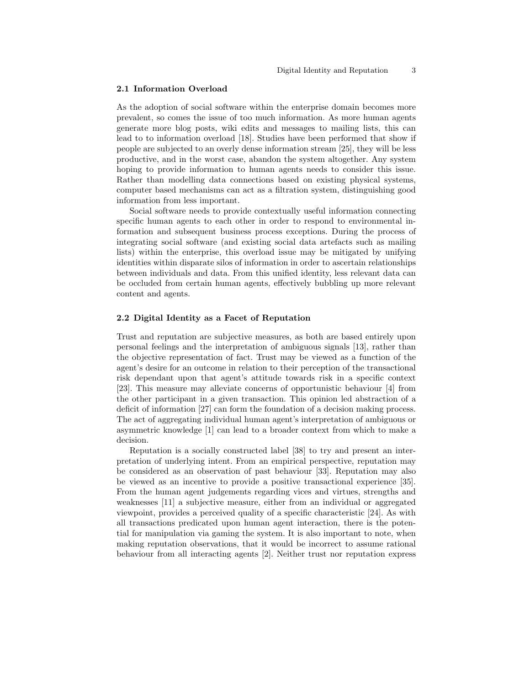#### 2.1 Information Overload

As the adoption of social software within the enterprise domain becomes more prevalent, so comes the issue of too much information. As more human agents generate more blog posts, wiki edits and messages to mailing lists, this can lead to to information overload [18]. Studies have been performed that show if people are subjected to an overly dense information stream [25], they will be less productive, and in the worst case, abandon the system altogether. Any system hoping to provide information to human agents needs to consider this issue. Rather than modelling data connections based on existing physical systems, computer based mechanisms can act as a filtration system, distinguishing good information from less important.

Social software needs to provide contextually useful information connecting specific human agents to each other in order to respond to environmental information and subsequent business process exceptions. During the process of integrating social software (and existing social data artefacts such as mailing lists) within the enterprise, this overload issue may be mitigated by unifying identities within disparate silos of information in order to ascertain relationships between individuals and data. From this unified identity, less relevant data can be occluded from certain human agents, effectively bubbling up more relevant content and agents.

### 2.2 Digital Identity as a Facet of Reputation

Trust and reputation are subjective measures, as both are based entirely upon personal feelings and the interpretation of ambiguous signals [13], rather than the objective representation of fact. Trust may be viewed as a function of the agent's desire for an outcome in relation to their perception of the transactional risk dependant upon that agent's attitude towards risk in a specific context [23]. This measure may alleviate concerns of opportunistic behaviour [4] from the other participant in a given transaction. This opinion led abstraction of a deficit of information [27] can form the foundation of a decision making process. The act of aggregating individual human agent's interpretation of ambiguous or asymmetric knowledge [1] can lead to a broader context from which to make a decision.

Reputation is a socially constructed label [38] to try and present an interpretation of underlying intent. From an empirical perspective, reputation may be considered as an observation of past behaviour [33]. Reputation may also be viewed as an incentive to provide a positive transactional experience [35]. From the human agent judgements regarding vices and virtues, strengths and weaknesses [11] a subjective measure, either from an individual or aggregated viewpoint, provides a perceived quality of a specific characteristic [24]. As with all transactions predicated upon human agent interaction, there is the potential for manipulation via gaming the system. It is also important to note, when making reputation observations, that it would be incorrect to assume rational behaviour from all interacting agents [2]. Neither trust nor reputation express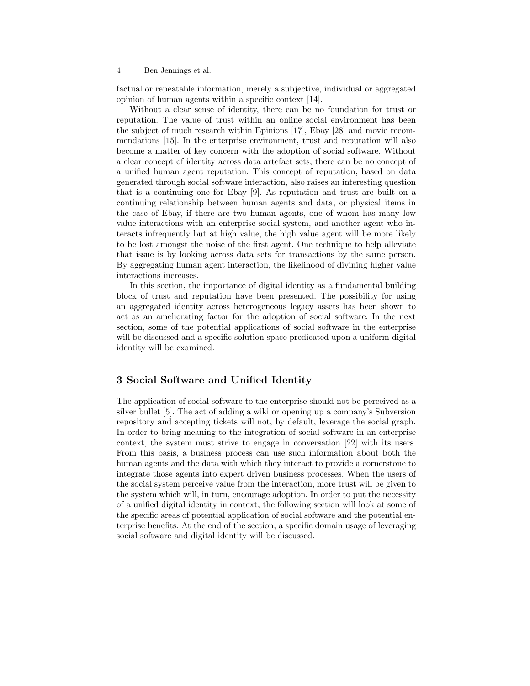factual or repeatable information, merely a subjective, individual or aggregated opinion of human agents within a specific context [14].

Without a clear sense of identity, there can be no foundation for trust or reputation. The value of trust within an online social environment has been the subject of much research within Epinions [17], Ebay [28] and movie recommendations [15]. In the enterprise environment, trust and reputation will also become a matter of key concern with the adoption of social software. Without a clear concept of identity across data artefact sets, there can be no concept of a unified human agent reputation. This concept of reputation, based on data generated through social software interaction, also raises an interesting question that is a continuing one for Ebay [9]. As reputation and trust are built on a continuing relationship between human agents and data, or physical items in the case of Ebay, if there are two human agents, one of whom has many low value interactions with an enterprise social system, and another agent who interacts infrequently but at high value, the high value agent will be more likely to be lost amongst the noise of the first agent. One technique to help alleviate that issue is by looking across data sets for transactions by the same person. By aggregating human agent interaction, the likelihood of divining higher value interactions increases.

In this section, the importance of digital identity as a fundamental building block of trust and reputation have been presented. The possibility for using an aggregated identity across heterogeneous legacy assets has been shown to act as an ameliorating factor for the adoption of social software. In the next section, some of the potential applications of social software in the enterprise will be discussed and a specific solution space predicated upon a uniform digital identity will be examined.

# 3 Social Software and Unified Identity

The application of social software to the enterprise should not be perceived as a silver bullet [5]. The act of adding a wiki or opening up a company's Subversion repository and accepting tickets will not, by default, leverage the social graph. In order to bring meaning to the integration of social software in an enterprise context, the system must strive to engage in conversation [22] with its users. From this basis, a business process can use such information about both the human agents and the data with which they interact to provide a cornerstone to integrate those agents into expert driven business processes. When the users of the social system perceive value from the interaction, more trust will be given to the system which will, in turn, encourage adoption. In order to put the necessity of a unified digital identity in context, the following section will look at some of the specific areas of potential application of social software and the potential enterprise benefits. At the end of the section, a specific domain usage of leveraging social software and digital identity will be discussed.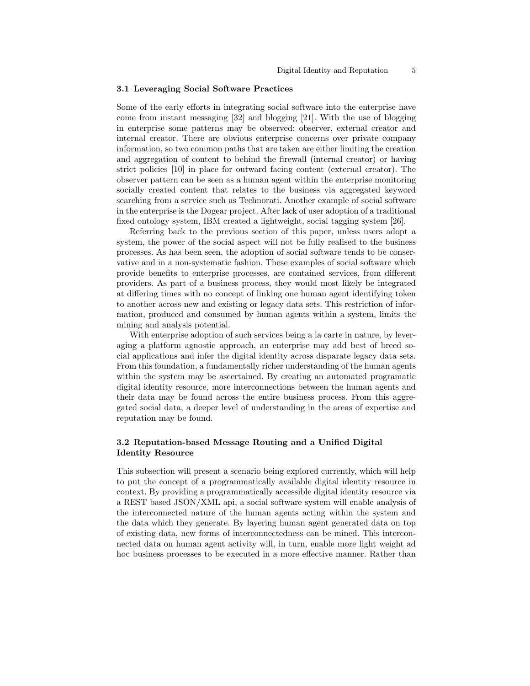#### 3.1 Leveraging Social Software Practices

Some of the early efforts in integrating social software into the enterprise have come from instant messaging [32] and blogging [21]. With the use of blogging in enterprise some patterns may be observed: observer, external creator and internal creator. There are obvious enterprise concerns over private company information, so two common paths that are taken are either limiting the creation and aggregation of content to behind the firewall (internal creator) or having strict policies [10] in place for outward facing content (external creator). The observer pattern can be seen as a human agent within the enterprise monitoring socially created content that relates to the business via aggregated keyword searching from a service such as Technorati. Another example of social software in the enterprise is the Dogear project. After lack of user adoption of a traditional fixed ontology system, IBM created a lightweight, social tagging system [26].

Referring back to the previous section of this paper, unless users adopt a system, the power of the social aspect will not be fully realised to the business processes. As has been seen, the adoption of social software tends to be conservative and in a non-systematic fashion. These examples of social software which provide benefits to enterprise processes, are contained services, from different providers. As part of a business process, they would most likely be integrated at differing times with no concept of linking one human agent identifying token to another across new and existing or legacy data sets. This restriction of information, produced and consumed by human agents within a system, limits the mining and analysis potential.

With enterprise adoption of such services being a la carte in nature, by leveraging a platform agnostic approach, an enterprise may add best of breed social applications and infer the digital identity across disparate legacy data sets. From this foundation, a fundamentally richer understanding of the human agents within the system may be ascertained. By creating an automated programatic digital identity resource, more interconnections between the human agents and their data may be found across the entire business process. From this aggregated social data, a deeper level of understanding in the areas of expertise and reputation may be found.

### 3.2 Reputation-based Message Routing and a Unified Digital Identity Resource

This subsection will present a scenario being explored currently, which will help to put the concept of a programmatically available digital identity resource in context. By providing a programmatically accessible digital identity resource via a REST based JSON/XML api, a social software system will enable analysis of the interconnected nature of the human agents acting within the system and the data which they generate. By layering human agent generated data on top of existing data, new forms of interconnectedness can be mined. This interconnected data on human agent activity will, in turn, enable more light weight ad hoc business processes to be executed in a more effective manner. Rather than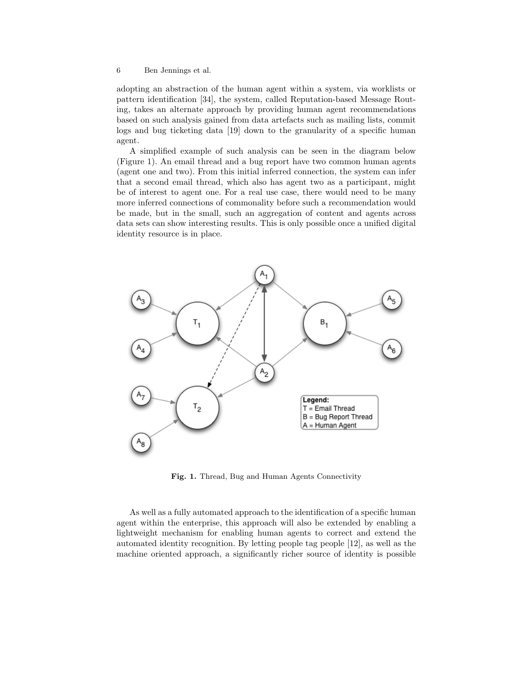adopting an abstraction of the human agent within a system, via worklists or pattern identification [34], the system, called Reputation-based Message Routing, takes an alternate approach by providing human agent recommendations based on such analysis gained from data artefacts such as mailing lists, commit logs and bug ticketing data [19] down to the granularity of a specific human agent.

A simplified example of such analysis can be seen in the diagram below (Figure 1). An email thread and a bug report have two common human agents (agent one and two). From this initial inferred connection, the system can infer that a second email thread, which also has agent two as a participant, might be of interest to agent one. For a real use case, there would need to be many more inferred connections of commonality before such a recommendation would be made, but in the small, such an aggregation of content and agents across data sets can show interesting results. This is only possible once a unified digital identity resource is in place.



Fig. 1. Thread, Bug and Human Agents Connectivity

As well as a fully automated approach to the identification of a specific human agent within the enterprise, this approach will also be extended by enabling a lightweight mechanism for enabling human agents to correct and extend the automated identity recognition. By letting people tag people [12], as well as the machine oriented approach, a significantly richer source of identity is possible

<sup>6</sup> Ben Jennings et al.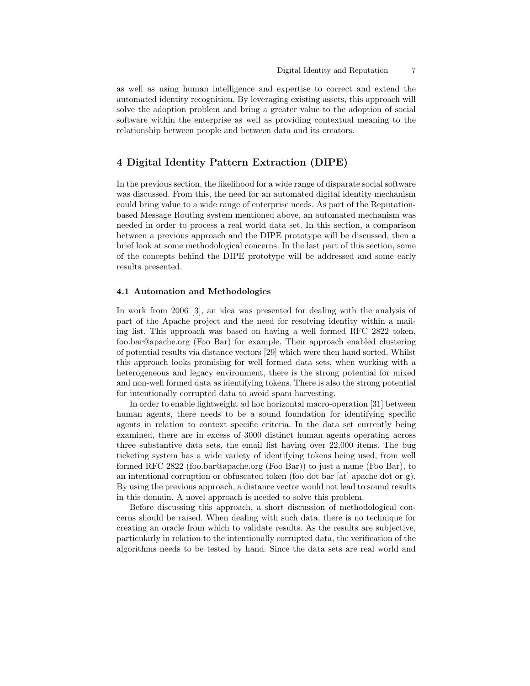as well as using human intelligence and expertise to correct and extend the automated identity recognition. By leveraging existing assets, this approach will solve the adoption problem and bring a greater value to the adoption of social software within the enterprise as well as providing contextual meaning to the relationship between people and between data and its creators.

# 4 Digital Identity Pattern Extraction (DIPE)

In the previous section, the likelihood for a wide range of disparate social software was discussed. From this, the need for an automated digital identity mechanism could bring value to a wide range of enterprise needs. As part of the Reputationbased Message Routing system mentioned above, an automated mechanism was needed in order to process a real world data set. In this section, a comparison between a previous approach and the DIPE prototype will be discussed, then a brief look at some methodological concerns. In the last part of this section, some of the concepts behind the DIPE prototype will be addressed and some early results presented.

### 4.1 Automation and Methodologies

In work from 2006 [3], an idea was presented for dealing with the analysis of part of the Apache project and the need for resolving identity within a mailing list. This approach was based on having a well formed RFC 2822 token, foo.bar@apache.org (Foo Bar) for example. Their approach enabled clustering of potential results via distance vectors [29] which were then hand sorted. Whilst this approach looks promising for well formed data sets, when working with a heterogeneous and legacy environment, there is the strong potential for mixed and non-well formed data as identifying tokens. There is also the strong potential for intentionally corrupted data to avoid spam harvesting.

In order to enable lightweight ad hoc horizontal macro-operation [31] between human agents, there needs to be a sound foundation for identifying specific agents in relation to context specific criteria. In the data set currently being examined, there are in excess of 3000 distinct human agents operating across three substantive data sets, the email list having over 22,000 items. The bug ticketing system has a wide variety of identifying tokens being used, from well formed RFC 2822 (foo.bar@apache.org (Foo Bar)) to just a name (Foo Bar), to an intentional corruption or obfuscated token (foo dot bar [at] apache dot or g). By using the previous approach, a distance vector would not lead to sound results in this domain. A novel approach is needed to solve this problem.

Before discussing this approach, a short discussion of methodological concerns should be raised. When dealing with such data, there is no technique for creating an oracle from which to validate results. As the results are subjective, particularly in relation to the intentionally corrupted data, the verification of the algorithms needs to be tested by hand. Since the data sets are real world and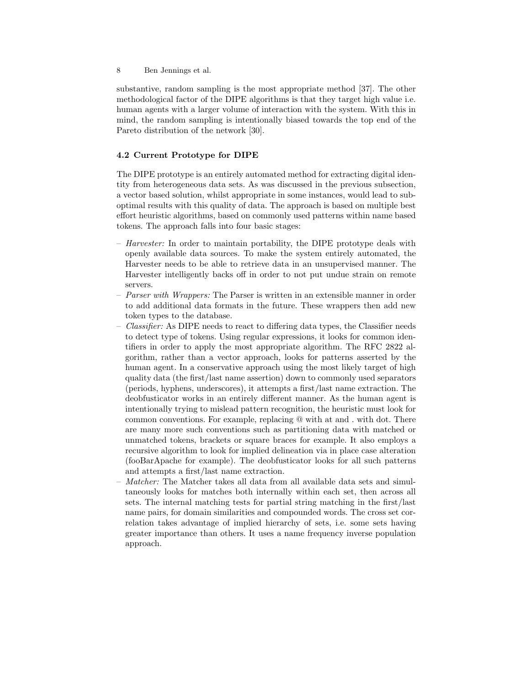substantive, random sampling is the most appropriate method [37]. The other methodological factor of the DIPE algorithms is that they target high value i.e. human agents with a larger volume of interaction with the system. With this in mind, the random sampling is intentionally biased towards the top end of the Pareto distribution of the network [30].

### 4.2 Current Prototype for DIPE

The DIPE prototype is an entirely automated method for extracting digital identity from heterogeneous data sets. As was discussed in the previous subsection, a vector based solution, whilst appropriate in some instances, would lead to suboptimal results with this quality of data. The approach is based on multiple best effort heuristic algorithms, based on commonly used patterns within name based tokens. The approach falls into four basic stages:

- *Harvester*: In order to maintain portability, the DIPE prototype deals with openly available data sources. To make the system entirely automated, the Harvester needs to be able to retrieve data in an unsupervised manner. The Harvester intelligently backs off in order to not put undue strain on remote servers.
- Parser with Wrappers: The Parser is written in an extensible manner in order to add additional data formats in the future. These wrappers then add new token types to the database.
- $-$  Classifier: As DIPE needs to react to differing data types, the Classifier needs to detect type of tokens. Using regular expressions, it looks for common identifiers in order to apply the most appropriate algorithm. The RFC 2822 algorithm, rather than a vector approach, looks for patterns asserted by the human agent. In a conservative approach using the most likely target of high quality data (the first/last name assertion) down to commonly used separators (periods, hyphens, underscores), it attempts a first/last name extraction. The deobfusticator works in an entirely different manner. As the human agent is intentionally trying to mislead pattern recognition, the heuristic must look for common conventions. For example, replacing @ with at and . with dot. There are many more such conventions such as partitioning data with matched or unmatched tokens, brackets or square braces for example. It also employs a recursive algorithm to look for implied delineation via in place case alteration (fooBarApache for example). The deobfusticator looks for all such patterns and attempts a first/last name extraction.
- Matcher: The Matcher takes all data from all available data sets and simultaneously looks for matches both internally within each set, then across all sets. The internal matching tests for partial string matching in the first/last name pairs, for domain similarities and compounded words. The cross set correlation takes advantage of implied hierarchy of sets, i.e. some sets having greater importance than others. It uses a name frequency inverse population approach.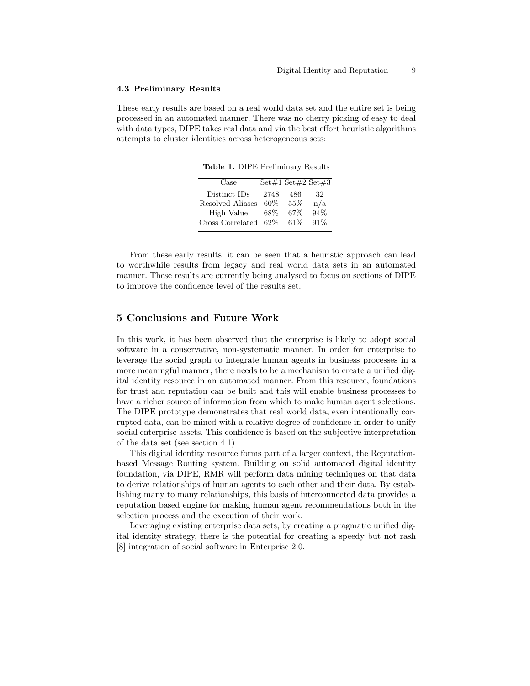#### 4.3 Preliminary Results

These early results are based on a real world data set and the entire set is being processed in an automated manner. There was no cherry picking of easy to deal with data types, DIPE takes real data and via the best effort heuristic algorithms attempts to cluster identities across heterogeneous sets:

Table 1. DIPE Preliminary Results

| Case             |      | Set#1 Set#2 Set#3 |     |
|------------------|------|-------------------|-----|
| Distinct IDs     | 2748 | 486               | 32  |
| Resolved Aliases | 60%  | 55%               | n/a |
| High Value       | 68%  | 67\%              | 94% |
| Cross Correlated | 62%  | 61%               | 91% |
|                  |      |                   |     |

From these early results, it can be seen that a heuristic approach can lead to worthwhile results from legacy and real world data sets in an automated manner. These results are currently being analysed to focus on sections of DIPE to improve the confidence level of the results set.

# 5 Conclusions and Future Work

In this work, it has been observed that the enterprise is likely to adopt social software in a conservative, non-systematic manner. In order for enterprise to leverage the social graph to integrate human agents in business processes in a more meaningful manner, there needs to be a mechanism to create a unified digital identity resource in an automated manner. From this resource, foundations for trust and reputation can be built and this will enable business processes to have a richer source of information from which to make human agent selections. The DIPE prototype demonstrates that real world data, even intentionally corrupted data, can be mined with a relative degree of confidence in order to unify social enterprise assets. This confidence is based on the subjective interpretation of the data set (see section 4.1).

This digital identity resource forms part of a larger context, the Reputationbased Message Routing system. Building on solid automated digital identity foundation, via DIPE, RMR will perform data mining techniques on that data to derive relationships of human agents to each other and their data. By establishing many to many relationships, this basis of interconnected data provides a reputation based engine for making human agent recommendations both in the selection process and the execution of their work.

Leveraging existing enterprise data sets, by creating a pragmatic unified digital identity strategy, there is the potential for creating a speedy but not rash [8] integration of social software in Enterprise 2.0.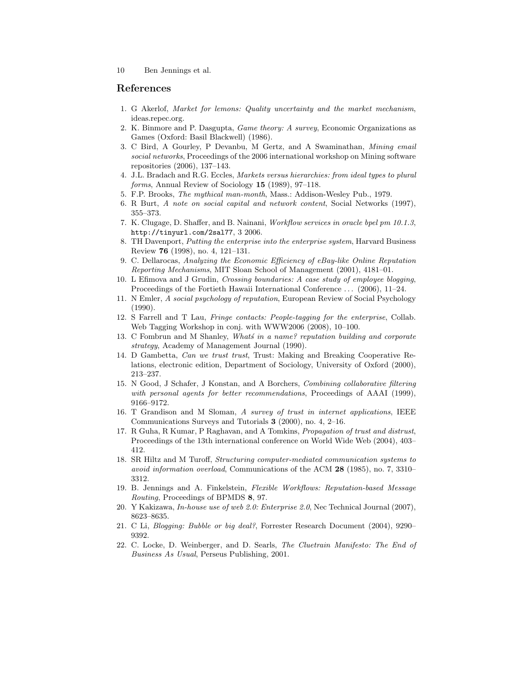### References

- 1. G Akerlof, Market for lemons: Quality uncertainty and the market mechanism, ideas.repec.org.
- 2. K. Binmore and P. Dasgupta, Game theory: A survey, Economic Organizations as Games (Oxford: Basil Blackwell) (1986).
- 3. C Bird, A Gourley, P Devanbu, M Gertz, and A Swaminathan, Mining email social networks, Proceedings of the 2006 international workshop on Mining software repositories (2006), 137–143.
- 4. J.L. Bradach and R.G. Eccles, Markets versus hierarchies: from ideal types to plural forms, Annual Review of Sociology 15 (1989), 97–118.
- 5. F.P. Brooks, The mythical man-month, Mass.: Addison-Wesley Pub., 1979.
- 6. R Burt, A note on social capital and network content, Social Networks (1997), 355–373.
- 7. K. Clugage, D. Shaffer, and B. Nainani, Workflow services in oracle bpel pm 10.1.3, http://tinyurl.com/2sal77, 3 2006.
- 8. TH Davenport, Putting the enterprise into the enterprise system, Harvard Business Review 76 (1998), no. 4, 121–131.
- 9. C. Dellarocas, Analyzing the Economic Efficiency of eBay-like Online Reputation Reporting Mechanisms, MIT Sloan School of Management (2001), 4181–01.
- 10. L Efimova and J Grudin, Crossing boundaries: A case study of employee blogging, Proceedings of the Fortieth Hawaii International Conference . . . (2006), 11–24.
- 11. N Emler, A social psychology of reputation, European Review of Social Psychology (1990).
- 12. S Farrell and T Lau, Fringe contacts: People-tagging for the enterprise, Collab. Web Tagging Workshop in conj. with WWW2006 (2008), 10–100.
- 13. C Fombrun and M Shanley, What's in a name? reputation building and corporate strategy, Academy of Management Journal (1990).
- 14. D Gambetta, Can we trust trust, Trust: Making and Breaking Cooperative Relations, electronic edition, Department of Sociology, University of Oxford (2000), 213–237.
- 15. N Good, J Schafer, J Konstan, and A Borchers, Combining collaborative filtering with personal agents for better recommendations, Proceedings of AAAI (1999), 9166–9172.
- 16. T Grandison and M Sloman, A survey of trust in internet applications, IEEE Communications Surveys and Tutorials 3 (2000), no. 4, 2–16.
- 17. R Guha, R Kumar, P Raghavan, and A Tomkins, Propagation of trust and distrust, Proceedings of the 13th international conference on World Wide Web (2004), 403– 412.
- 18. SR Hiltz and M Turoff, Structuring computer-mediated communication systems to avoid information overload, Communications of the ACM 28 (1985), no. 7, 3310– 3312.
- 19. B. Jennings and A. Finkelstein, Flexible Workflows: Reputation-based Message Routing, Proceedings of BPMDS 8, 97.
- 20. Y Kakizawa, In-house use of web 2.0: Enterprise 2.0, Nec Technical Journal (2007), 8623–8635.
- 21. C Li, Blogging: Bubble or big deal?, Forrester Research Document (2004), 9290– 9392.
- 22. C. Locke, D. Weinberger, and D. Searls, The Cluetrain Manifesto: The End of Business As Usual, Perseus Publishing, 2001.